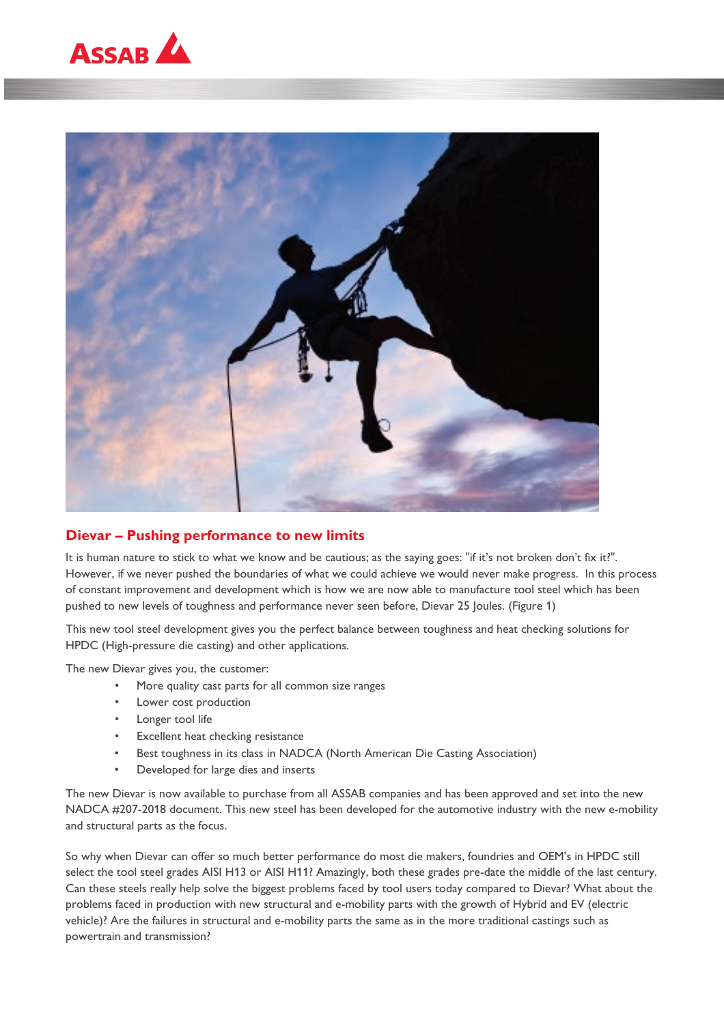



# **Dievar – Pushing performance to new limits**

It is human nature to stick to what we know and be cautious; as the saying goes: "if it's not broken don't fix it?". However, if we never pushed the boundaries of what we could achieve we would never make progress. In this process of constant improvement and development which is how we are now able to manufacture tool steel which has been pushed to new levels of toughness and performance never seen before, Dievar 25 Joules. (Figure 1)

This new tool steel development gives you the perfect balance between toughness and heat checking solutions for HPDC (High-pressure die casting) and other applications.

The new Dievar gives you, the customer:

- More quality cast parts for all common size ranges
- Lower cost production
- Longer tool life
- Excellent heat checking resistance
- Best toughness in its class in NADCA (North American Die Casting Association)
- Developed for large dies and inserts

The new Dievar is now available to purchase from all ASSAB companies and has been approved and set into the new NADCA #207-2018 document. This new steel has been developed for the automotive industry with the new e-mobility and structural parts as the focus.

So why when Dievar can offer so much better performance do most die makers, foundries and OEM's in HPDC still select the tool steel grades AISI H13 or AISI H11? Amazingly, both these grades pre-date the middle of the last century. Can these steels really help solve the biggest problems faced by tool users today compared to Dievar? What about the problems faced in production with new structural and e-mobility parts with the growth of Hybrid and EV (electric vehicle)? Are the failures in structural and e-mobility parts the same as in the more traditional castings such as powertrain and transmission?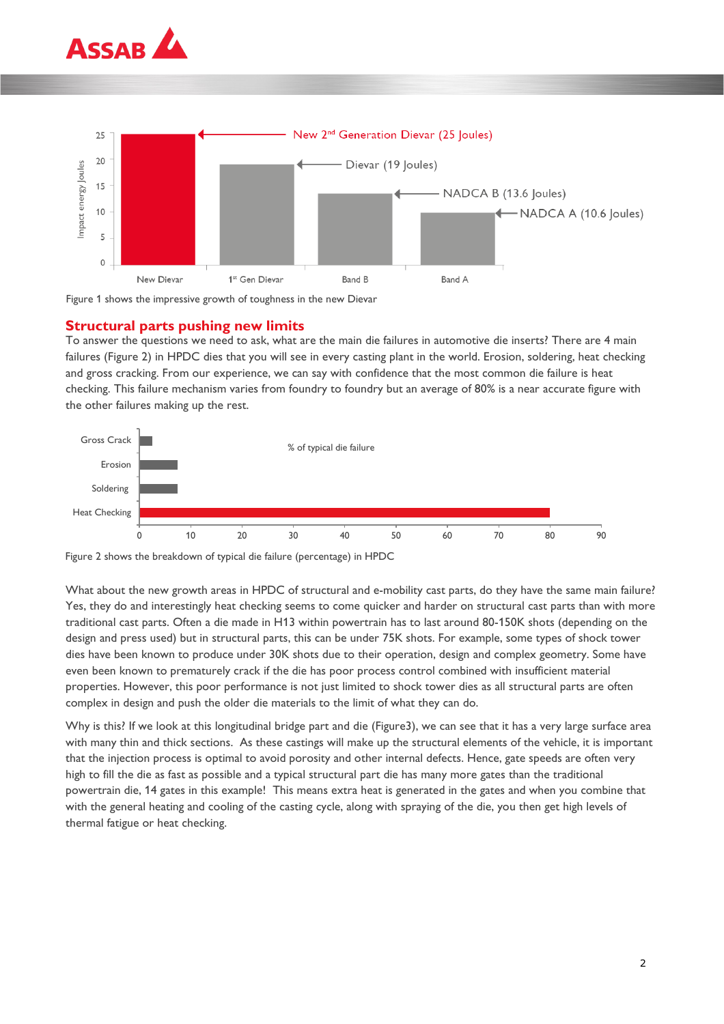





### **Structural parts pushing new limits**

To answer the questions we need to ask, what are the main die failures in automotive die inserts? There are 4 main failures (Figure 2) in HPDC dies that you will see in every casting plant in the world. Erosion, soldering, heat checking and gross cracking. From our experience, we can say with confidence that the most common die failure is heat checking. This failure mechanism varies from foundry to foundry but an average of 80% is a near accurate figure with the other failures making up the rest.



Figure 2 shows the breakdown of typical die failure (percentage) in HPDC

What about the new growth areas in HPDC of structural and e-mobility cast parts, do they have the same main failure? Yes, they do and interestingly heat checking seems to come quicker and harder on structural cast parts than with more traditional cast parts. Often a die made in H13 within powertrain has to last around 80-150K shots (depending on the design and press used) but in structural parts, this can be under 75K shots. For example, some types of shock tower dies have been known to produce under 30K shots due to their operation, design and complex geometry. Some have even been known to prematurely crack if the die has poor process control combined with insufficient material properties. However, this poor performance is not just limited to shock tower dies as all structural parts are often complex in design and push the older die materials to the limit of what they can do.

Why is this? If we look at this longitudinal bridge part and die (Figure3), we can see that it has a very large surface area with many thin and thick sections. As these castings will make up the structural elements of the vehicle, it is important that the injection process is optimal to avoid porosity and other internal defects. Hence, gate speeds are often very high to fill the die as fast as possible and a typical structural part die has many more gates than the traditional powertrain die, 14 gates in this example! This means extra heat is generated in the gates and when you combine that with the general heating and cooling of the casting cycle, along with spraying of the die, you then get high levels of thermal fatigue or heat checking.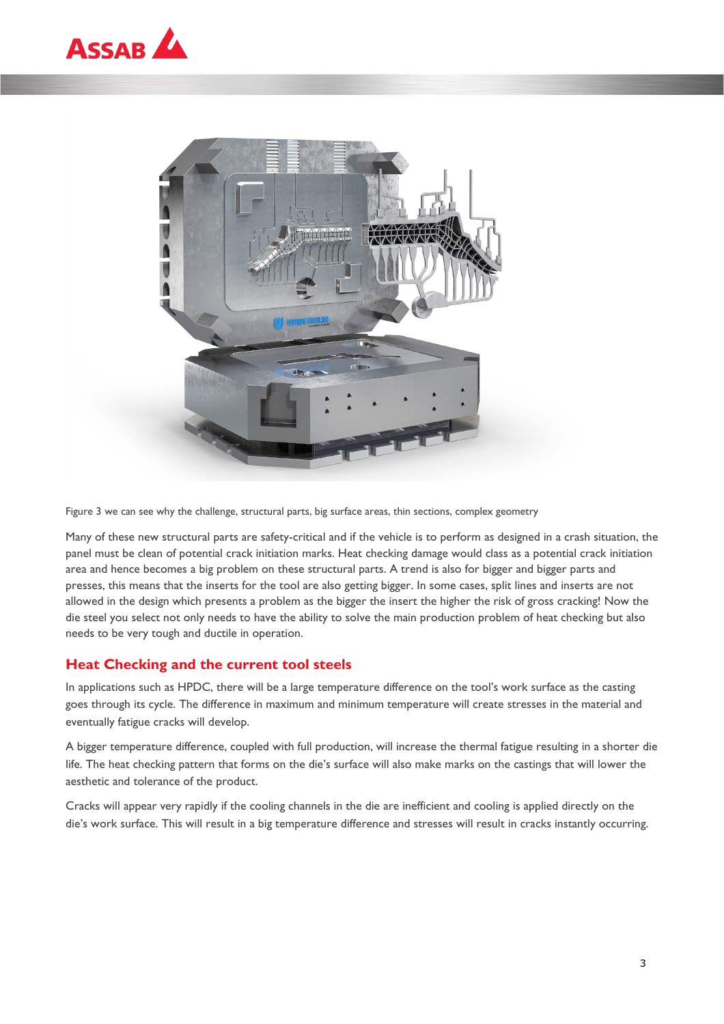



Figure 3 we can see why the challenge, structural parts, big surface areas, thin sections, complex geometry

Many of these new structural parts are safety-critical and if the vehicle is to perform as designed in a crash situation, the panel must be clean of potential crack initiation marks. Heat checking damage would class as a potential crack initiation area and hence becomes a big problem on these structural parts. A trend is also for bigger and bigger parts and presses, this means that the inserts for the tool are also getting bigger. In some cases, split lines and inserts are not allowed in the design which presents a problem as the bigger the insert the higher the risk of gross cracking! Now the die steel you select not only needs to have the ability to solve the main production problem of heat checking but also needs to be very tough and ductile in operation.

# **Heat Checking and the current tool steels**

In applications such as HPDC, there will be a large temperature difference on the tool's work surface as the casting goes through its cycle. The difference in maximum and minimum temperature will create stresses in the material and eventually fatigue cracks will develop.

A bigger temperature difference, coupled with full production, will increase the thermal fatigue resulting in a shorter die life. The heat checking pattern that forms on the die's surface will also make marks on the castings that will lower the aesthetic and tolerance of the product.

Cracks will appear very rapidly if the cooling channels in the die are inefficient and cooling is applied directly on the die's work surface. This will result in a big temperature difference and stresses will result in cracks instantly occurring.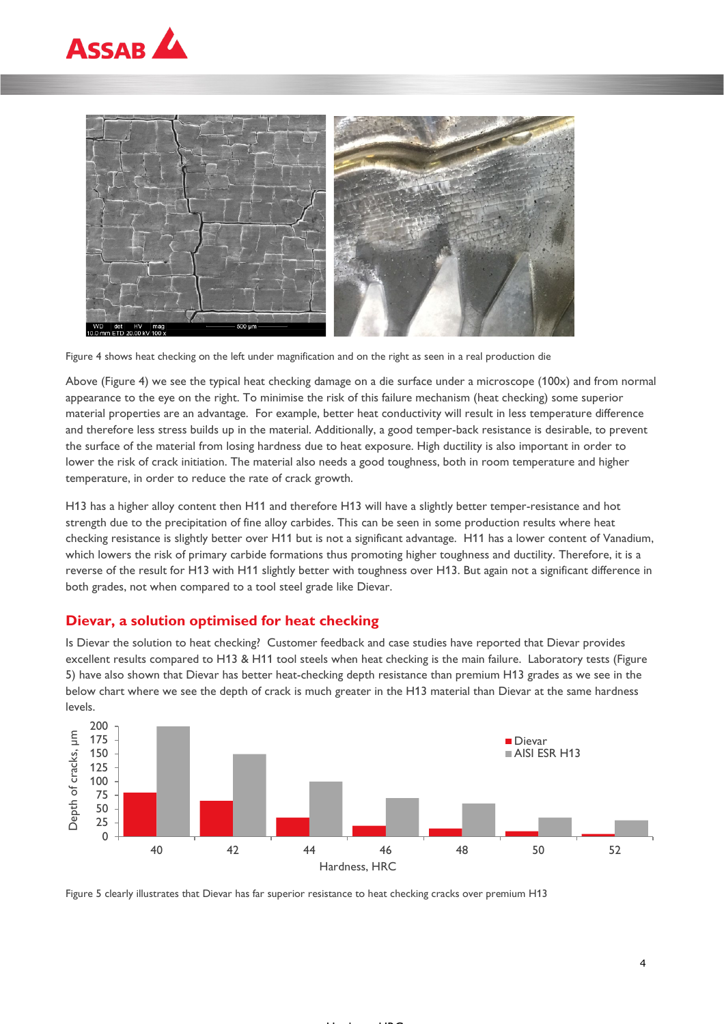



Figure 4 shows heat checking on the left under magnification and on the right as seen in a real production die

Above (Figure 4) we see the typical heat checking damage on a die surface under a microscope (100x) and from normal appearance to the eye on the right. To minimise the risk of this failure mechanism (heat checking) some superior material properties are an advantage. For example, better heat conductivity will result in less temperature difference and therefore less stress builds up in the material. Additionally, a good temper-back resistance is desirable, to prevent the surface of the material from losing hardness due to heat exposure. High ductility is also important in order to lower the risk of crack initiation. The material also needs a good toughness, both in room temperature and higher temperature, in order to reduce the rate of crack growth.

H13 has a higher alloy content then H11 and therefore H13 will have a slightly better temper-resistance and hot strength due to the precipitation of fine alloy carbides. This can be seen in some production results where heat checking resistance is slightly better over H11 but is not a significant advantage. H11 has a lower content of Vanadium, which lowers the risk of primary carbide formations thus promoting higher toughness and ductility. Therefore, it is a reverse of the result for H13 with H11 slightly better with toughness over H13. But again not a significant difference in both grades, not when compared to a tool steel grade like Dievar.

### **Dievar, a solution optimised for heat checking**

Is Dievar the solution to heat checking? Customer feedback and case studies have reported that Dievar provides excellent results compared to H13 & H11 tool steels when heat checking is the main failure. Laboratory tests (Figure 5) have also shown that Dievar has better heat-checking depth resistance than premium H13 grades as we see in the below chart where we see the depth of crack is much greater in the H13 material than Dievar at the same hardness levels.



. . . . . . **. . .** 

Figure 5 clearly illustrates that Dievar has far superior resistance to heat checking cracks over premium H13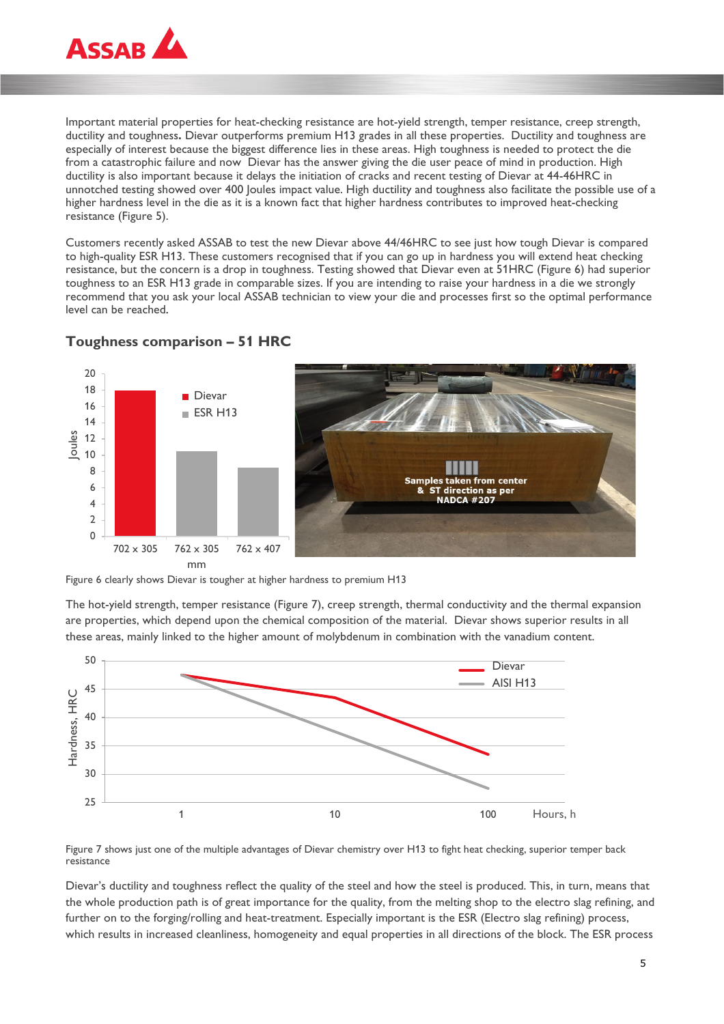

Important material properties for heat-checking resistance are hot-yield strength, temper resistance, creep strength, ductility and toughness**.** Dievar outperforms premium H13 grades in all these properties.Ductility and toughness are especially of interest because the biggest difference lies in these areas. High toughness is needed to protect the die from a catastrophic failure and now Dievar has the answer giving the die user peace of mind in production. High ductility is also important because it delays the initiation of cracks and recent testing of Dievar at 44-46HRC in unnotched testing showed over 400 Joules impact value. High ductility and toughness also facilitate the possible use of a higher hardness level in the die as it is a known fact that higher hardness contributes to improved heat-checking resistance (Figure 5).

Customers recently asked ASSAB to test the new Dievar above 44/46HRC to see just how tough Dievar is compared to high-quality ESR H13. These customers recognised that if you can go up in hardness you will extend heat checking resistance, but the concern is a drop in toughness. Testing showed that Dievar even at 51HRC (Figure 6) had superior toughness to an ESR H13 grade in comparable sizes. If you are intending to raise your hardness in a die we strongly recommend that you ask your local ASSAB technician to view your die and processes first so the optimal performance level can be reached.



### **Toughness comparison – 51 HRC**

Figure 6 clearly shows Dievar is tougher at higher hardness to premium H13

The hot-yield strength, temper resistance (Figure 7), creep strength, thermal conductivity and the thermal expansion are properties, which depend upon the chemical composition of the material. Dievar shows superior results in all these areas, mainly linked to the higher amount of molybdenum in combination with the vanadium content.



Figure 7 shows just one of the multiple advantages of Dievar chemistry over H13 to fight heat checking, superior temper back resistance

Dievar's ductility and toughness reflect the quality of the steel and how the steel is produced. This, in turn, means that the whole production path is of great importance for the quality, from the melting shop to the electro slag refining, and further on to the forging/rolling and heat-treatment. Especially important is the ESR (Electro slag refining) process, which results in increased cleanliness, homogeneity and equal properties in all directions of the block. The ESR process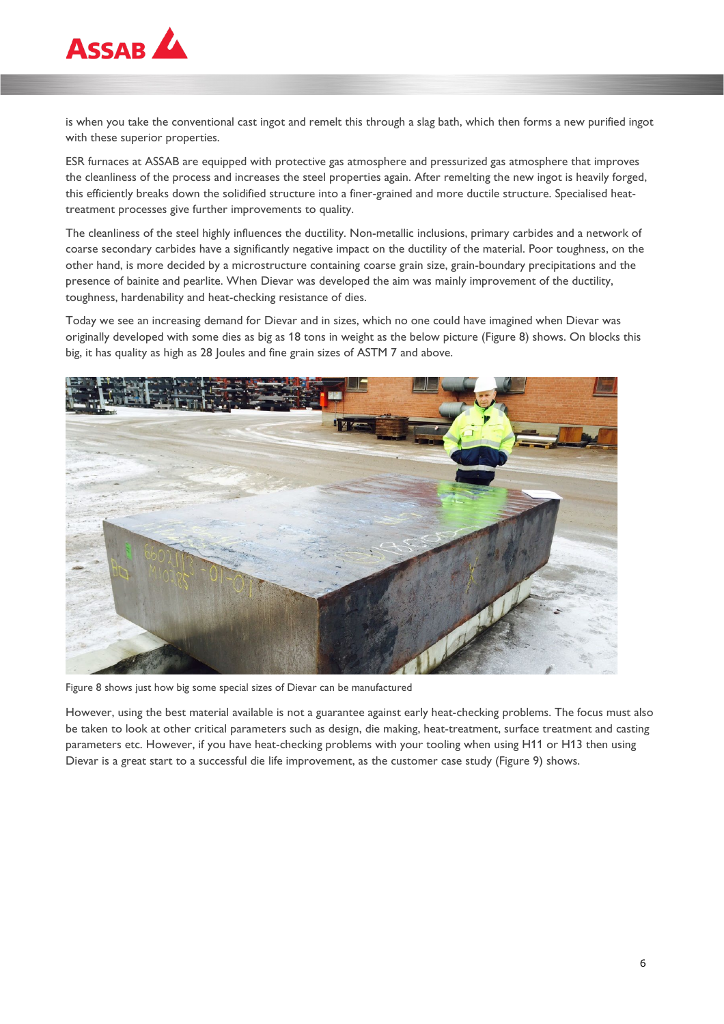

is when you take the conventional cast ingot and remelt this through a slag bath, which then forms a new purified ingot with these superior properties.

ESR furnaces at ASSAB are equipped with protective gas atmosphere and pressurized gas atmosphere that improves the cleanliness of the process and increases the steel properties again. After remelting the new ingot is heavily forged, this efficiently breaks down the solidified structure into a finer-grained and more ductile structure. Specialised heattreatment processes give further improvements to quality.

The cleanliness of the steel highly influences the ductility. Non-metallic inclusions, primary carbides and a network of coarse secondary carbides have a significantly negative impact on the ductility of the material. Poor toughness, on the other hand, is more decided by a microstructure containing coarse grain size, grain-boundary precipitations and the presence of bainite and pearlite. When Dievar was developed the aim was mainly improvement of the ductility, toughness, hardenability and heat-checking resistance of dies.

Today we see an increasing demand for Dievar and in sizes, which no one could have imagined when Dievar was originally developed with some dies as big as 18 tons in weight as the below picture (Figure 8) shows. On blocks this big, it has quality as high as 28 Joules and fine grain sizes of ASTM 7 and above.



Figure 8 shows just how big some special sizes of Dievar can be manufactured

However, using the best material available is not a guarantee against early heat-checking problems. The focus must also be taken to look at other critical parameters such as design, die making, heat-treatment, surface treatment and casting parameters etc. However, if you have heat-checking problems with your tooling when using H11 or H13 then using Dievar is a great start to a successful die life improvement, as the customer case study (Figure 9) shows.